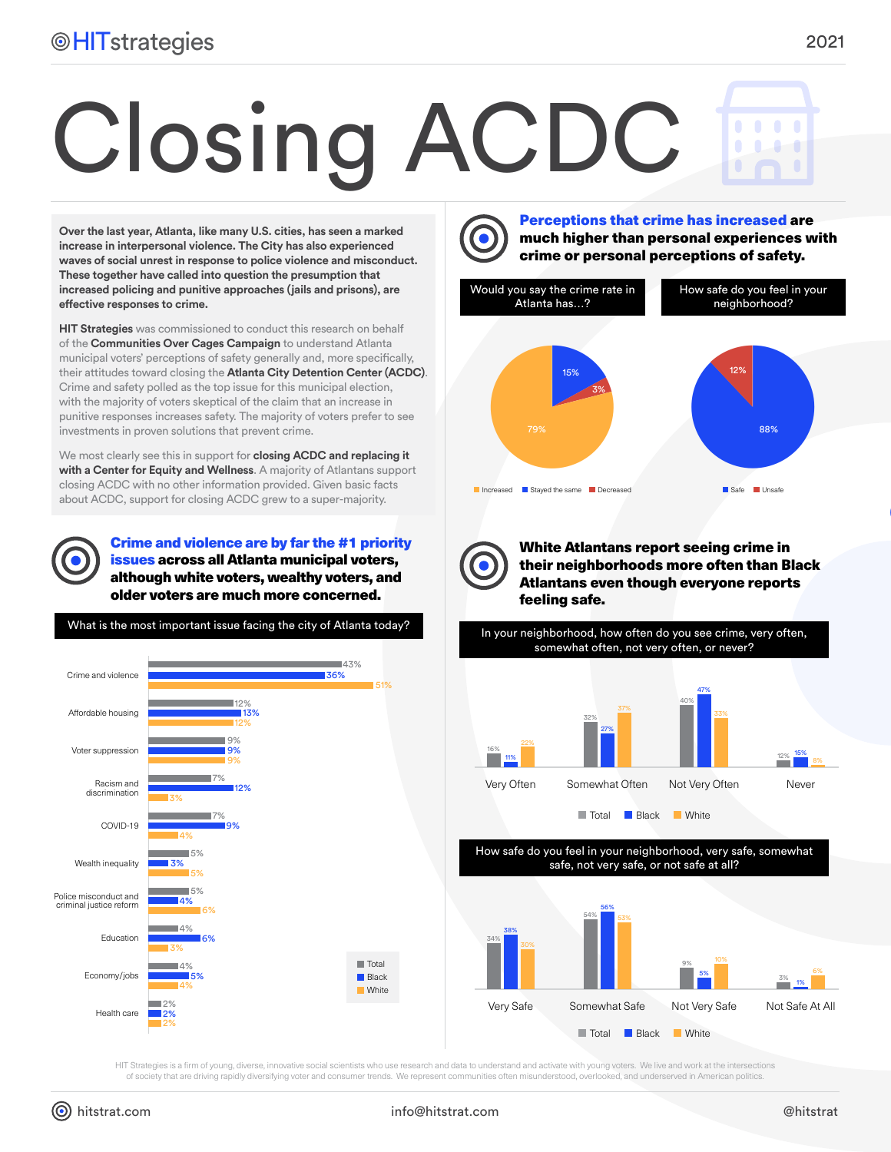## Closing ACDC

**Over the last year, Atlanta, like many U.S. cities, has seen a marked increase in interpersonal violence. The City has also experienced waves of social unrest in response to police violence and misconduct. These together have called into question the presumption that increased policing and punitive approaches (jails and prisons), are effective responses to crime.**

**HIT Strategies** was commissioned to conduct this research on behalf of the **Communities Over Cages Campaign** to understand Atlanta municipal voters' perceptions of safety generally and, more specifically, their attitudes toward closing the **Atlanta City Detention Center (ACDC)**. Crime and safety polled as the top issue for this municipal election, with the majority of voters skeptical of the claim that an increase in punitive responses increases safety. The majority of voters prefer to see investments in proven solutions that prevent crime.

We most clearly see this in support for **closing ACDC and replacing it with a Center for Equity and Wellness**. A majority of Atlantans support closing ACDC with no other information provided. Given basic facts about ACDC, support for closing ACDC grew to a super-majority.

Crime and violence are by far the #1 priority issues across all Atlanta municipal voters, although white voters, wealthy voters, and older voters are much more concerned.



Perceptions that crime has increased are much higher than personal experiences with crime or personal perceptions of safety.





White Atlantans report seeing crime in their neighborhoods more often than Black Atlantans even though everyone reports feeling safe.

somewhat often, not very often, or never?



**Total** Black White

How safe do you feel in your neighborhood, very safe, somewhat safe, not very safe, or not safe at all?



HIT Strategies is a firm of young, diverse, innovative social scientists who use research and data to understand and activate with young voters. We live and work at the intersections of society that are driving rapidly diversifying voter and consumer trends. We represent communities often misunderstood, overlooked, and underserved in American politics.